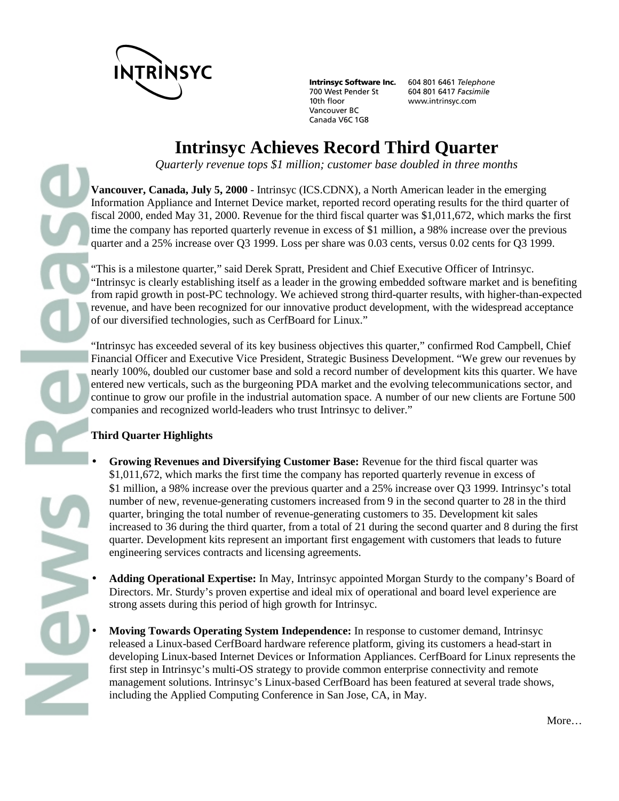

**Intrinsyc Software Inc.** 700 West Pender St 10th floor Vancouver BC Canada V6C 1G8

604 801 6461 Telephone 604 801 6417 Facsimile www.intrinsyc.com

# **Intrinsyc Achieves Record Third Quarter**

*Quarterly revenue tops \$1 million; customer base doubled in three months*

**Vancouver, Canada, July 5, 2000** - Intrinsyc (ICS.CDNX), a North American leader in the emerging Information Appliance and Internet Device market, reported record operating results for the third quarter of fiscal 2000, ended May 31, 2000. Revenue for the third fiscal quarter was \$1,011,672, which marks the first time the company has reported quarterly revenue in excess of \$1 million, a 98% increase over the previous quarter and a 25% increase over Q3 1999. Loss per share was 0.03 cents, versus 0.02 cents for Q3 1999.

"This is a milestone quarter," said Derek Spratt, President and Chief Executive Officer of Intrinsyc. "Intrinsyc is clearly establishing itself as a leader in the growing embedded software market and is benefiting from rapid growth in post-PC technology. We achieved strong third-quarter results, with higher-than-expected revenue, and have been recognized for our innovative product development, with the widespread acceptance of our diversified technologies, such as CerfBoard for Linux."

"Intrinsyc has exceeded several of its key business objectives this quarter," confirmed Rod Campbell, Chief Financial Officer and Executive Vice President, Strategic Business Development. "We grew our revenues by nearly 100%, doubled our customer base and sold a record number of development kits this quarter. We have entered new verticals, such as the burgeoning PDA market and the evolving telecommunications sector, and continue to grow our profile in the industrial automation space. A number of our new clients are Fortune 500 companies and recognized world-leaders who trust Intrinsyc to deliver."

### **Third Quarter Highlights**

- **Growing Revenues and Diversifying Customer Base:** Revenue for the third fiscal quarter was \$1,011,672, which marks the first time the company has reported quarterly revenue in excess of \$1 million, a 98% increase over the previous quarter and a 25% increase over Q3 1999. Intrinsyc's total number of new, revenue-generating customers increased from 9 in the second quarter to 28 in the third quarter, bringing the total number of revenue-generating customers to 35. Development kit sales increased to 36 during the third quarter, from a total of 21 during the second quarter and 8 during the first quarter. Development kits represent an important first engagement with customers that leads to future engineering services contracts and licensing agreements.
- **Adding Operational Expertise:** In May, Intrinsyc appointed Morgan Sturdy to the company's Board of Directors. Mr. Sturdy's proven expertise and ideal mix of operational and board level experience are strong assets during this period of high growth for Intrinsyc.
- **Moving Towards Operating System Independence:** In response to customer demand, Intrinsyc released a Linux-based CerfBoard hardware reference platform, giving its customers a head-start in developing Linux-based Internet Devices or Information Appliances. CerfBoard for Linux represents the first step in Intrinsyc's multi-OS strategy to provide common enterprise connectivity and remote management solutions. Intrinsyc's Linux-based CerfBoard has been featured at several trade shows, including the Applied Computing Conference in San Jose, CA, in May.

More…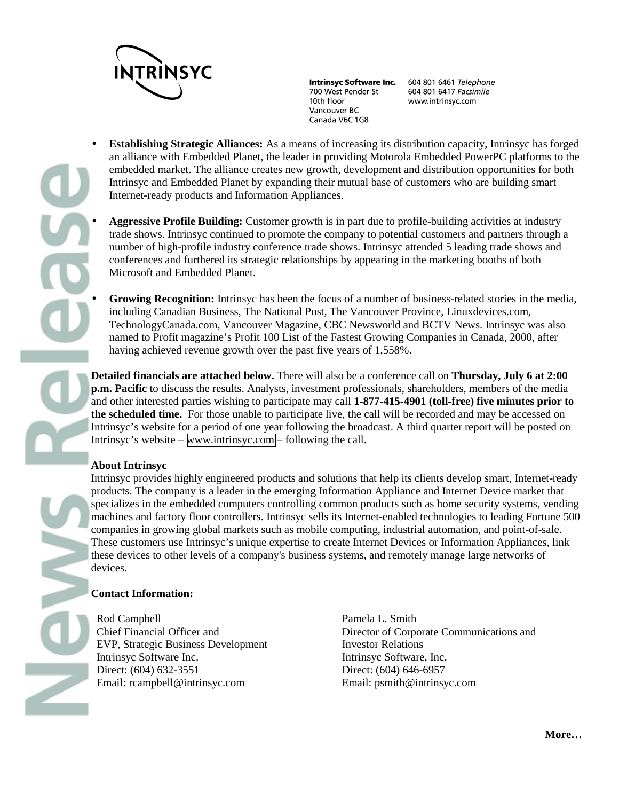

**Intrinsyc Software Inc.** 700 West Pender St 10th floor Vancouver BC Canada V6C 1G8

604 801 6461 Telephone 604 801 6417 Facsimile www.intrinsyc.com

- **Establishing Strategic Alliances:** As a means of increasing its distribution capacity, Intrinsyc has forged an alliance with Embedded Planet, the leader in providing Motorola Embedded PowerPC platforms to the embedded market. The alliance creates new growth, development and distribution opportunities for both Intrinsyc and Embedded Planet by expanding their mutual base of customers who are building smart Internet-ready products and Information Appliances.
	- **Aggressive Profile Building:** Customer growth is in part due to profile-building activities at industry trade shows. Intrinsyc continued to promote the company to potential customers and partners through a number of high-profile industry conference trade shows. Intrinsyc attended 5 leading trade shows and conferences and furthered its strategic relationships by appearing in the marketing booths of both Microsoft and Embedded Planet.
		- **Growing Recognition:** Intrinsyc has been the focus of a number of business-related stories in the media, including Canadian Business, The National Post, The Vancouver Province, Linuxdevices.com, TechnologyCanada.com, Vancouver Magazine, CBC Newsworld and BCTV News. Intrinsyc was also named to Profit magazine's Profit 100 List of the Fastest Growing Companies in Canada, 2000, after having achieved revenue growth over the past five years of 1,558%.

**Detailed financials are attached below.** There will also be a conference call on **Thursday, July 6 at 2:00 p.m. Pacific** to discuss the results. Analysts, investment professionals, shareholders, members of the media and other interested parties wishing to participate may call **1-877-415-4901 (toll-free) five minutes prior to the scheduled time.** For those unable to participate live, the call will be recorded and may be accessed on Intrinsyc's website for a period of one year following the broadcast. A third quarter report will be posted on Intrinsyc's website – [www.intrinsyc.com](http://www.intrinsyc.com/) – following the call.

#### **About Intrinsyc**

Intrinsyc provides highly engineered products and solutions that help its clients develop smart, Internet-ready products. The company is a leader in the emerging Information Appliance and Internet Device market that specializes in the embedded computers controlling common products such as home security systems, vending machines and factory floor controllers. Intrinsyc sells its Internet-enabled technologies to leading Fortune 500 companies in growing global markets such as mobile computing, industrial automation, and point-of-sale. These customers use Intrinsyc's unique expertise to create Internet Devices or Information Appliances, link these devices to other levels of a company's business systems, and remotely manage large networks of devices.

#### **Contact Information:**

Rod Campbell Chief Financial Officer and EVP, Strategic Business Development Intrinsyc Software Inc. Direct: (604) 632-3551 Email: rcampbell@intrinsyc.com

Pamela L. Smith Director of Corporate Communications and Investor Relations Intrinsyc Software, Inc. Direct: (604) 646-6957 Email: psmith@intrinsyc.com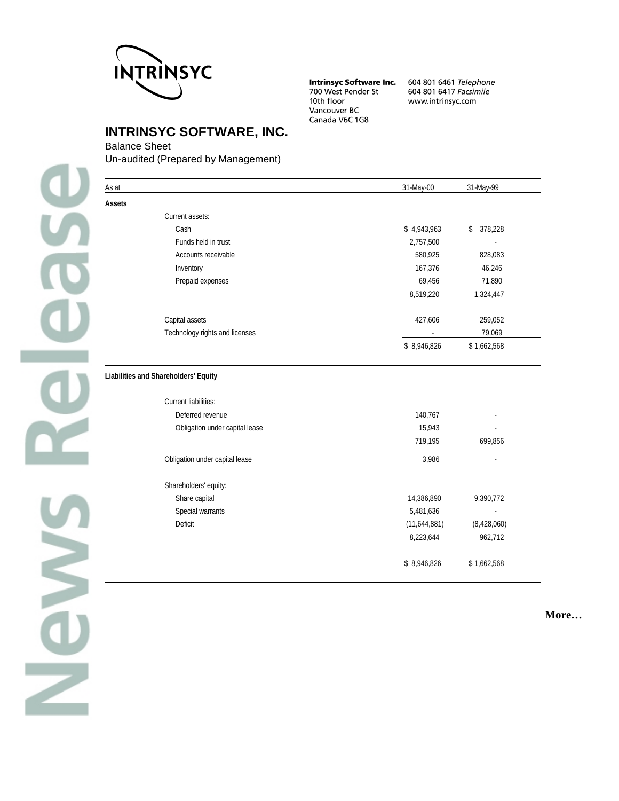

**Intrinsyc Software Inc.** 700 West Pender St<br>10th floor Vancouver BC Canada V6C 1G8

604 801 6461 Telephone 604 801 6417 Facsimile www.intrinsyc.com

# **INTRINSYC SOFTWARE, INC.**

#### Balance Sheet

Un-audited (Prepared by Management)

| As at         |                                                              | 31-May-00    | 31-May-99     |
|---------------|--------------------------------------------------------------|--------------|---------------|
| <b>Assets</b> |                                                              |              |               |
|               | Current assets:                                              |              |               |
|               | Cash                                                         | \$4,943,963  | 378,228<br>\$ |
|               | Funds held in trust                                          | 2,757,500    |               |
|               | Accounts receivable                                          | 580,925      | 828,083       |
|               | Inventory                                                    | 167,376      | 46,246        |
|               | Prepaid expenses                                             | 69,456       | 71,890        |
|               |                                                              | 8,519,220    | 1,324,447     |
|               | Capital assets                                               | 427,606      | 259,052       |
|               | Technology rights and licenses                               |              | 79,069        |
|               |                                                              | \$8,946,826  | \$1,662,568   |
|               | Liabilities and Shareholders' Equity<br>Current liabilities: |              |               |
|               | Deferred revenue                                             | 140,767      |               |
|               | Obligation under capital lease                               | 15,943       |               |
|               |                                                              | 719,195      | 699,856       |
|               | Obligation under capital lease                               | 3,986        |               |
|               | Shareholders' equity:                                        |              |               |
|               | Share capital                                                | 14,386,890   | 9,390,772     |
|               | Special warrants                                             | 5,481,636    |               |
|               | Deficit                                                      | (11,644,881) | (8,428,060)   |
|               |                                                              | 8,223,644    | 962,712       |
|               |                                                              | \$8,946,826  | \$1,662,568   |

**More…**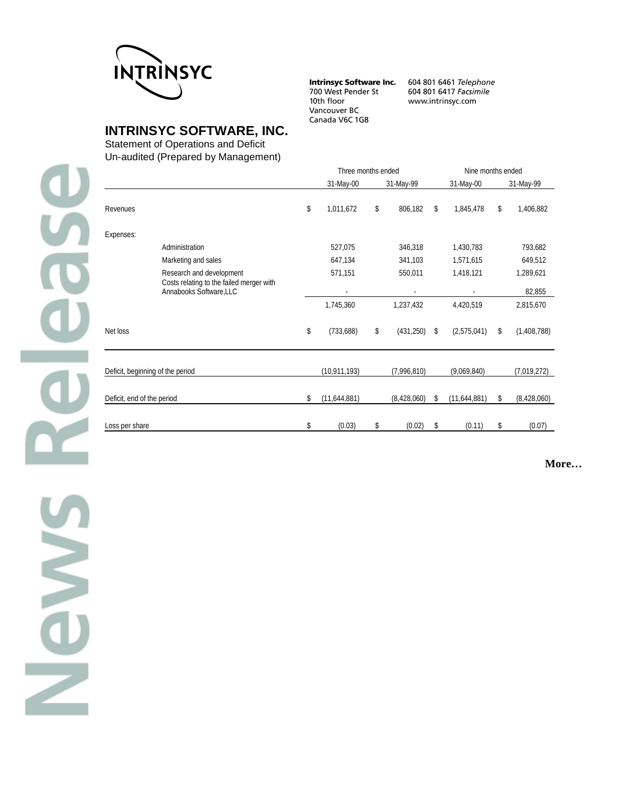

**Intrinsyc Software Inc.** 700 West Pender St 10th floor Vancouver BC Canada V6C 1G8

604 801 6461 Telephone 604 801 6417 Facsimile www.intrinsyc.com

**INTRINSYC SOFTWARE, INC.**

Statement of Operations and Deficit

Un-audited (Prepared by Management)

|                            |                                                                     | Three months ended |                | Nine months ended |                    |    |             |
|----------------------------|---------------------------------------------------------------------|--------------------|----------------|-------------------|--------------------|----|-------------|
|                            |                                                                     |                    | 31-May-00      | 31-May-99         | 31-May-00          |    | 31-May-99   |
| Revenues                   |                                                                     | \$                 | 1,011,672      | \$<br>806,182     | \$<br>1,845,478    | \$ | 1,406,882   |
| Expenses:                  |                                                                     |                    |                |                   |                    |    |             |
|                            | Administration                                                      |                    | 527,075        | 346,318           | 1,430,783          |    | 793,682     |
|                            | Marketing and sales                                                 |                    | 647,134        | 341,103           | 1,571,615          |    | 649,512     |
|                            | Research and development                                            |                    | 571,151        | 550,011           | 1,418,121          |    | 1,289,621   |
|                            | Costs relating to the failed merger with<br>Annabooks Software, LLC |                    | $\blacksquare$ |                   |                    |    | 82,855      |
|                            |                                                                     |                    | 1,745,360      | 1,237,432         | 4,420,519          |    | 2,815,670   |
| Net loss                   |                                                                     | \$                 | (733,688)      | \$<br>(431, 250)  | \$<br>(2,575,041)  | \$ | (1,408,788) |
|                            | Deficit, beginning of the period                                    |                    | (10, 911, 193) | (7,996,810)       | (9,069,840)        |    | (7,019,272) |
| Deficit, end of the period |                                                                     | \$                 | (11,644,881)   | (8,428,060)       | \$<br>(11,644,881) | \$ | (8,428,060) |
| Loss per share             |                                                                     | \$                 | (0.03)         | \$<br>(0.02)      | \$<br>(0.11)       | \$ | (0.07)      |

**More…**